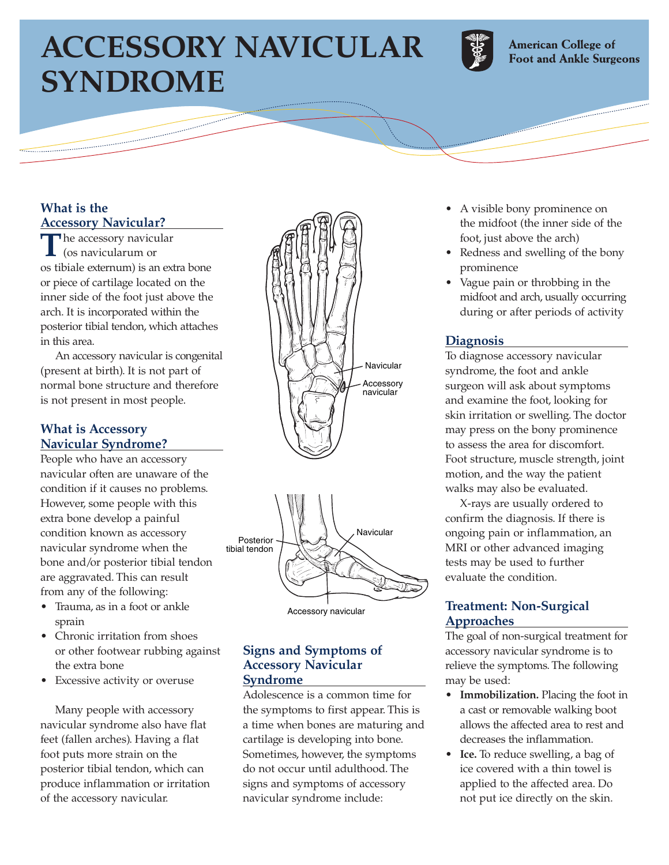# **ACCESSORY NAVICULAR SYNDROME**



**American College of Foot and Ankle Surgeons** 

### **What is the Accessory Navicular?**

The accessory navicular (os navicularum or os tibiale externum) is an extra bone or piece of cartilage located on the inner side of the foot just above the arch. It is incorporated within the posterior tibial tendon, which attaches in this area.

An accessory navicular is congenital (present at birth). It is not part of normal bone structure and therefore is not present in most people.

#### **What is Accessory Navicular Syndrome?**

People who have an accessory navicular often are unaware of the condition if it causes no problems. However, some people with this extra bone develop a painful condition known as accessory navicular syndrome when the bone and/or posterior tibial tendon are aggravated. This can result from any of the following:

- Trauma, as in a foot or ankle sprain
- Chronic irritation from shoes or other footwear rubbing against the extra bone
- Excessive activity or overuse

Many people with accessory navicular syndrome also have flat feet (fallen arches). Having a flat foot puts more strain on the posterior tibial tendon, which can produce inflammation or irritation of the accessory navicular.





Accessory navicular

#### **Signs and Symptoms of Accessory Navicular Syndrome**

Adolescence is a common time for the symptoms to first appear. This is a time when bones are maturing and cartilage is developing into bone. Sometimes, however, the symptoms do not occur until adulthood. The signs and symptoms of accessory navicular syndrome include:

- A visible bony prominence on the midfoot (the inner side of the foot, just above the arch)
- Redness and swelling of the bony prominence
- Vague pain or throbbing in the midfoot and arch, usually occurring during or after periods of activity

## **Diagnosis**

To diagnose accessory navicular syndrome, the foot and ankle surgeon will ask about symptoms and examine the foot, looking for skin irritation or swelling. The doctor may press on the bony prominence to assess the area for discomfort. Foot structure, muscle strength, joint motion, and the way the patient walks may also be evaluated.

X-rays are usually ordered to confirm the diagnosis. If there is ongoing pain or inflammation, an MRI or other advanced imaging tests may be used to further evaluate the condition.

#### **Treatment: Non-Surgical Approaches**

The goal of non-surgical treatment for accessory navicular syndrome is to relieve the symptoms. The following may be used:

- **Immobilization.** Placing the foot in a cast or removable walking boot allows the affected area to rest and decreases the inflammation.
- **Ice.** To reduce swelling, a bag of ice covered with a thin towel is applied to the affected area. Do not put ice directly on the skin.